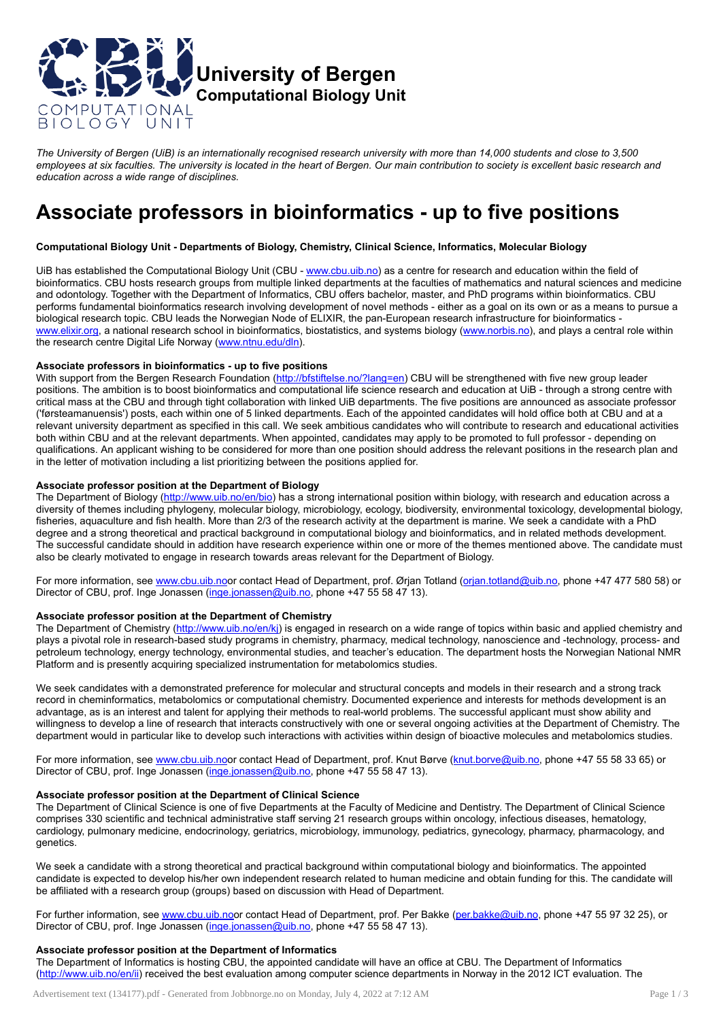

The University of Bergen (UiB) is an internationally recognised research university with more than 14,000 students and close to 3,500 employees at six faculties. The university is located in the heart of Bergen. Our main contribution to society is excellent basic research and *education across a wide range of disciplines.*

# Associate professors in bioinformatics - up to five positions

# Computational Biology Unit - Departments of Biology, Chemistry, Clinical Science, Informatics, Molecular Biology

UiB has established the Computational Biology Unit (CBU - [www.cbu.uib.no\)](http://www.cbu.uib.no/) as a centre for research and education within the field of bioinformatics. CBU hosts research groups from multiple linked departments at the faculties of mathematics and natural sciences and medicine and odontology. Together with the Department of Informatics, CBU offers bachelor, master, and PhD programs within bioinformatics. CBU performs fundamental bioinformatics research involving development of novel methods - either as a goal on its own or as a means to pursue a biological research topic. CBU leads the Norwegian Node of ELIXIR, the pan-European research infrastructure for bioinformatics [www.elixir.org](http://www.elixir.org/), a national research school in bioinformatics, biostatistics, and systems biology ([www.norbis.no\)](http://www.norbis.no/), and plays a central role within the research centre Digital Life Norway [\(www.ntnu.edu/dln\)](http://www.ntnu.edu/dln).

#### Associate professors in bioinformatics - up to five positions

With support from the Bergen Research Foundation [\(http://bfstiftelse.no/?lang=en\)](http://bfstiftelse.no/?lang=en) CBU will be strengthened with five new group leader positions. The ambition is to boost bioinformatics and computational life science research and education at UiB - through a strong centre with critical mass at the CBU and through tight collaboration with linked UiB departments. The five positions are announced as associate professor ('førsteamanuensis') posts, each within one of 5 linked departments. Each of the appointed candidates will hold office both at CBU and at a relevant university department as specified in this call. We seek ambitious candidates who will contribute to research and educational activities both within CBU and at the relevant departments. When appointed, candidates may apply to be promoted to full professor - depending on qualifications. An applicant wishing to be considered for more than one position should address the relevant positions in the research plan and in the letter of motivation including a list prioritizing between the positions applied for.

# Associate professor position at the Department of Biology

The Department of Biology (http://www.uib.no/en/bio) has a strong international position within biology, with research and education across a diversity of themes including phylogeny, molecular biology, microbiology, ecology, biodiversity, environmental toxicology, developmental biology, fisheries, aquaculture and fish health. More than 2/3 of the research activity at the department is marine. We seek a candidate with a PhD degree and a strong theoretical and practical background in computational biology and bioinformatics, and in related methods development. The successful candidate should in addition have research experience within one or more of the themes mentioned above. The candidate must also be clearly motivated to engage in research towards areas relevant for the Department of Biology.

For more information, see [www.cbu.uib.noo](http://www.cbu.uib.no/)r contact Head of Department, prof. Ørjan Totland ([orjan.totland@uib.no](mailto:orjan.totland@uib.no), phone +47 477 580 58) or Director of CBU, prof. Inge Jonassen [\(inge.jonassen@uib.no](mailto:inge.jonassen@uib.no), phone +47 55 58 47 13).

# Associate professor position at the Department of Chemistry

The Department of Chemistry ([http://www.uib.no/en/kj\)](http://www.uib.no/en/kj) is engaged in research on a wide range of topics within basic and applied chemistry and plays a pivotal role in research-based study programs in chemistry, pharmacy, medical technology, nanoscience and -technology, process- and petroleum technology, energy technology, environmental studies, and teacher's education. The department hosts the Norwegian National NMR Platform and is presently acquiring specialized instrumentation for metabolomics studies.

We seek candidates with a demonstrated preference for molecular and structural concepts and models in their research and a strong track record in cheminformatics, metabolomics or computational chemistry. Documented experience and interests for methods development is an advantage, as is an interest and talent for applying their methods to real-world problems. The successful applicant must show ability and willingness to develop a line of research that interacts constructively with one or several ongoing activities at the Department of Chemistry. The department would in particular like to develop such interactions with activities within design of bioactive molecules and metabolomics studies.

For more information, see [www.cbu.uib.noo](http://www.cbu.uib.no/)r contact Head of Department, prof. Knut Børve [\(knut.borve@uib.no](mailto:knut.borve@uib.no), phone +47 55 58 33 65) or Director of CBU, prof. Inge Jonassen [\(inge.jonassen@uib.no](mailto:inge.jonassen@uib.no), phone +47 55 58 47 13).

## Associate professor position at the Department of Clinical Science

The Department of Clinical Science is one of five Departments at the Faculty of Medicine and Dentistry. The Department of Clinical Science comprises 330 scientific and technical administrative staff serving 21 research groups within oncology, infectious diseases, hematology, cardiology, pulmonary medicine, endocrinology, geriatrics, microbiology, immunology, pediatrics, gynecology, pharmacy, pharmacology, and genetics.

We seek a candidate with a strong theoretical and practical background within computational biology and bioinformatics. The appointed candidate is expected to develop his/her own independent research related to human medicine and obtain funding for this. The candidate will be affiliated with a research group (groups) based on discussion with Head of Department.

For further information, see [www.cbu.uib.noo](http://www.cbu.uib.no/)r contact Head of Department, prof. Per Bakke [\(per.bakke@uib.no](mailto:per.bakke@uib.no), phone +47 55 97 32 25), or Director of CBU, prof. Inge Jonassen [\(inge.jonassen@uib.no](mailto:inge.jonassen@uib.no), phone +47 55 58 47 13).

## Associate professor position at the Department of Informatics

The Department of Informatics is hosting CBU, the appointed candidate will have an office at CBU. The Department of Informatics ([http://www.uib.no/en/ii\)](http://www.uib.no/en/ii) received the best evaluation among computer science departments in Norway in the 2012 ICT evaluation. The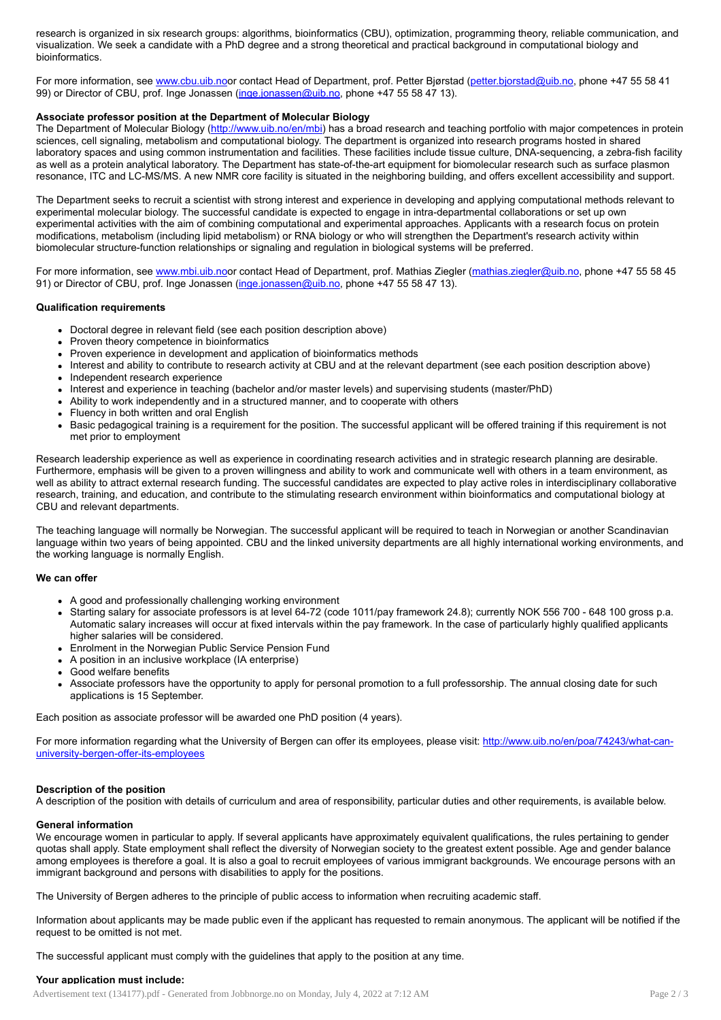research is organized in six research groups: algorithms, bioinformatics (CBU), optimization, programming theory, reliable communication, and visualization. We seek a candidate with a PhD degree and a strong theoretical and practical background in computational biology and bioinformatics.

For more information, see [www.cbu.uib.noo](http://www.cbu.uib.no/)r contact Head of Department, prof. Petter Bjørstad [\(petter.bjorstad@uib.no](mailto:petter.bjorstad@uib.no), phone +47 55 58 41 99) or Director of CBU, prof. Inge Jonassen [\(inge.jonassen@uib.no,](mailto:inge.jonassen@uib.no) phone +47 55 58 47 13).

# Associate professor position at the Department of Molecular Biology

The Department of Molecular Biology [\(http://www.uib.no/en/mbi\)](http://www.uib.no/en/mbi) has a broad research and teaching portfolio with major competences in protein sciences, cell signaling, metabolism and computational biology. The department is organized into research programs hosted in shared laboratory spaces and using common instrumentation and facilities. These facilities include tissue culture, DNA-sequencing, a zebra-fish facility as well as a protein analytical laboratory. The Department has state-of-the-art equipment for biomolecular research such as surface plasmon resonance, ITC and LC-MS/MS. A new NMR core facility is situated in the neighboring building, and offers excellent accessibility and support.

The Department seeks to recruit a scientist with strong interest and experience in developing and applying computational methods relevant to experimental molecular biology. The successful candidate is expected to engage in intra-departmental collaborations or set up own experimental activities with the aim of combining computational and experimental approaches. Applicants with a research focus on protein modifications, metabolism (including lipid metabolism) or RNA biology or who will strengthen the Department's research activity within biomolecular structure-function relationships or signaling and regulation in biological systems will be preferred.

For more information, see [www.mbi.uib.noo](http://www.cbu.uib.no/)r contact Head of Department, prof. Mathias Ziegler ([mathias.ziegler@uib.no,](mailto:mathias.ziegler@uib.no) phone +47 55 58 45 91) or Director of CBU, prof. Inge Jonassen [\(inge.jonassen@uib.no,](mailto:inge.jonassen@uib.no) phone +47 55 58 47 13).

#### Qualification requirements

- Doctoral degree in relevant field (see each position description above)
- Proven theory competence in bioinformatics
- Proven experience in development and application of bioinformatics methods
- Interest and ability to contribute to research activity at CBU and at the relevant department (see each position description above)
- Independent research experience
- Interest and experience in teaching (bachelor and/or master levels) and supervising students (master/PhD)
- Ability to work independently and in a structured manner, and to cooperate with others
- Fluency in both written and oral English
- Basic pedagogical training is a requirement for the position. The successful applicant will be offered training if this requirement is not met prior to employment

Research leadership experience as well as experience in coordinating research activities and in strategic research planning are desirable. Furthermore, emphasis will be given to a proven willingness and ability to work and communicate well with others in a team environment, as well as ability to attract external research funding. The successful candidates are expected to play active roles in interdisciplinary collaborative research, training, and education, and contribute to the stimulating research environment within bioinformatics and computational biology at CBU and relevant departments.

The teaching language will normally be Norwegian. The successful applicant will be required to teach in Norwegian or another Scandinavian language within two years of being appointed. CBU and the linked university departments are all highly international working environments, and the working language is normally English.

#### We can offer

- A good and professionally challenging working environment
- Starting salary for associate professors is at level 64-72 (code 1011/pay framework 24.8); currently NOK 556 700 648 100 gross p.a. Automatic salary increases will occur at fixed intervals within the pay framework. In the case of particularly highly qualified applicants higher salaries will be considered.
- Enrolment in the Norwegian Public Service Pension Fund
- A position in an inclusive workplace (IA enterprise)
- Good welfare benefits  $\bullet$
- Associate professors have the opportunity to apply for personal promotion to a full professorship. The annual closing date for such applications is 15 September.

Each position as associate professor will be awarded one PhD position (4 years).

For more information regarding what the University of Bergen can offer its employees, please visit: [http://www.uib.no/en/poa/74243/what-can](http://www.uib.no/en/poa/74243/what-can-university-bergen-offer-its-employees)university-bergen-offer-its-employees

#### Description of the position

A description of the position with details of curriculum and area of responsibility, particular duties and other requirements, is available below.

#### General information

We encourage women in particular to apply. If several applicants have approximately equivalent qualifications, the rules pertaining to gender quotas shall apply. State employment shall reflect the diversity of Norwegian society to the greatest extent possible. Age and gender balance among employees is therefore a goal. It is also a goal to recruit employees of various immigrant backgrounds. We encourage persons with an immigrant background and persons with disabilities to apply for the positions.

The University of Bergen adheres to the principle of public access to information when recruiting academic staff.

Information about applicants may be made public even if the applicant has requested to remain anonymous. The applicant will be notified if the request to be omitted is not met.

The successful applicant must comply with the guidelines that apply to the position at any time.

## Your application must include:

Advertisement text (134177).pdf - Generated from Jobbnorge.no on Monday, July 4, 2022 at 7:12 AM Page 2 / 3